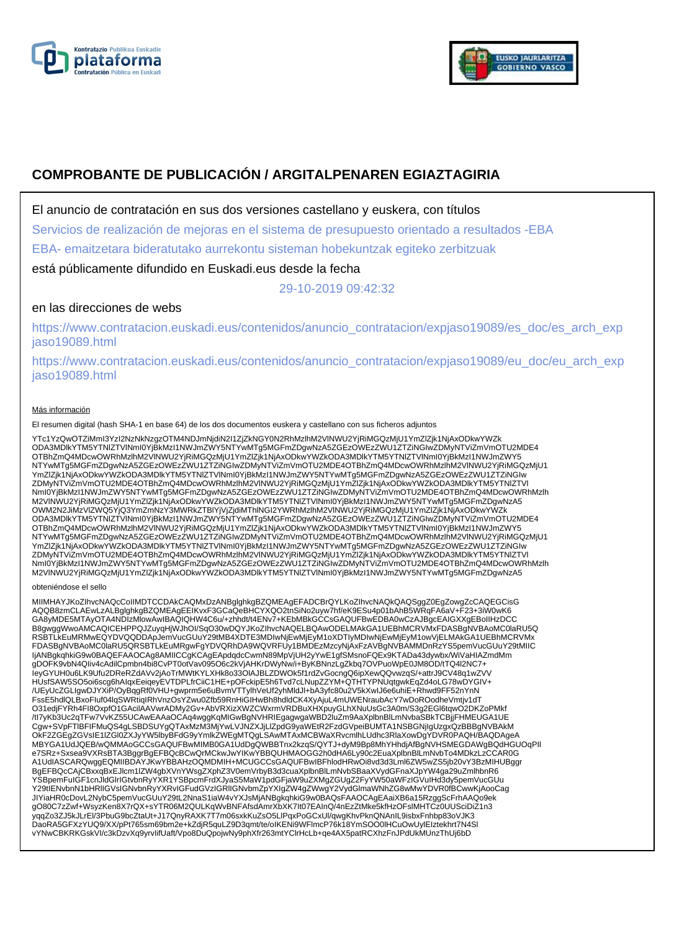



# **COMPROBANTE DE PUBLICACIÓN / ARGITALPENAREN EGIAZTAGIRIA**

El anuncio de contratación en sus dos versiones castellano y euskera, con títulos

Servicios de realización de mejoras en el sistema de presupuesto orientado a resultados -EBA

EBA- emaitzetara bideratutako aurrekontu sisteman hobekuntzak egiteko zerbitzuak

está públicamente difundido en Euskadi.eus desde la fecha

29-10-2019 09:42:32

# en las direcciones de webs

https://www.contratacion.euskadi.eus/contenidos/anuncio\_contratacion/expjaso19089/es\_doc/es\_arch\_exp jaso19089.html

https://www.contratacion.euskadi.eus/contenidos/anuncio\_contratacion/expjaso19089/eu\_doc/eu\_arch\_exp jaso19089.html

### Más información

El resumen digital (hash SHA-1 en base 64) de los dos documentos euskera y castellano con sus ficheros adjuntos

YTc1YzQwOTZiMmI3YzI2NzNkNzgzOTM4NDJmNjdiN2I1ZjZkNGY0N2RhMzlhM2VlNWU2YjRiMGQzMjU1YmZlZjk1NjAxODkwYWZk<br>ODA3MDlkYTM5YTNIZTVlNmI0YjBkMzI1NWJmZWY5NTYwMTg5MGFmZDgwNzA5ZGEzOWEzZWU1ZTZiNGIwZDMyNTViZmVmOTU2MDE4 OTBhZmQ4MDcwOWRhMzlhM2VlNWU2YjRiMGQzMjU1YmZlZjk1NjAxODkwYWZkODA3MDlkYTM5YTNlZTVlNml0YjBkMzI1NWJmZWY5<br>NTYwMTg5MGFmZDgwNzA5ZGEzOWEzZWU1ZTZiNGIwZDMyNTViZmVmOTU2MDE4OTBhZmQ4MDcwOWRhMzlhM2VlNWU2YjRiMGQzMjU1 YmZlZjk1NjAxODkwYWZkODA3MDlkYTM5YTNIZTVlNmI0YjBkMzI1NWJmZWY5NTYwMTg5MGFmZDgwNzA5ZGEzOWEzZWU1ZTZiNGIw<br>ZDMyNTViZmVmOTU2MDE4OTBhZmQ4MDcwOWRhMzlhM2VlNWU2YjRiMGQzMjU1YmZlZjk1NjAxODkwYWZkODA3MDlkYTM5YTNIZTVI NmI0YjBkMzI1NWJmZWY5NTYwMTg5MGFmZDgwNzA5ZGEzOWEzZWU1ZTZiNGIwZDMyNTViZmVmOTU2MDE4OTBhZmQ4MDcwOWRhMzlh M2VlNWU2YjRiMGQzMjU1YmZlZjk1NjAxODkwYWZkODA3MDlkYTM5YTNlZTVlNmI0YjBkMzI1NWJmZWY5NTYwMTg5MGFmZDgwNzA5 OWM2N2JiMzVIZWQ5YjQ3YmZmNzY3MWRkZTBIYjVjZjdiMThlNGI2YWRhMzlhM2VINWU2YjRiMGQzMjU1YmZlZjk1NjAxODkwYWZk<br>ODA3MDlkYTM5YTNIZTVINmI0YjBkMzI1NWJmZWY5NTYwMTg5MGFmZDgwNzA5ZGEzOWEzZWU1ZTZiNGIwZDMyNTViZmVmOTU2MDE4 OTBhZmQ4MDcwOWRhMzlhM2VlNWU2YjRiMGQzMjU1YmZlZjk1NjAxODkwYWZkODA3MDlkYTM5YTNlZTVlNml0YjBkMzI1NWJmZWY5<br>NTYwMTg5MGFmZDgwNzA5ZGEzOWEzZWU1ZTZiNGIwZDMyNTViZmVmOTU2MDE4OTBhZmQ4MDcwOWRhMzlhM2VlNWU2YjRiMGQzMjU1 YmZlZjk1NjAxODkwYWZkODA3MDlkYTM5YTNIZTVlNmI0YjBkMzI1NWJmZWY5NTYwMTg5MGFmZDgwNzA5ZGEzOWEzZWU1ZTZiNGIw<br>ZDMyNTViZmVmOTU2MDE4OTBhZmQ4MDcwOWRhMzlhM2VlNWU2YjRiMGQzMjU1YmZlZjk1NjAxODkwYWZkODA3MDlkYTM5YTNIZTVI NmI0YjBkMzI1NWJmZWY5NTYwMTg5MGFmZDgwNzA5ZGEzOWEzZWU1ZTZiNGIwZDMyNTViZmVmOTU2MDE4OTBhZmQ4MDcwOWRhMzlh M2VlNWU2YjRiMGQzMjU1YmZlZjk1NjAxODkwYWZkODA3MDlkYTM5YTNlZTVlNmI0YjBkMzI1NWJmZWY5NTYwMTg5MGFmZDgwNzA5

#### obteniéndose el sello

MIIMHAYJKoZIhvcNAQcCoIIMDTCCDAkCAQMxDzANBglghkgBZQMEAgEFADCBrQYLKoZIhvcNAQkQAQSggZ0EgZowgZcCAQEGCisG AQQB8zmCLAEwLzALBglghkgBZQMEAgEEIKvxF3GCaQeBHCYXQO2tnSiNo2uyw7hf/eK9ESu4p01bAhB5WRqFA6aV+F23+3iW0wK6 GA8yMDE5MTAyOTA4NDIzMlowAwIBAQIQHW4C6u/+zhhdt/t4ENv7+KEbMBkGCCsGAQUFBwEDBA0wCzAJBgcEAIGXXgEBoIIHzDCC B8gwggWwoAMCAQICEHPPQJZuyqHjWJhOI/SqO30wDQYJKoZIhvcNAQELBQAwODELMAkGA1UEBhMCRVMxFDASBgNVBAoMC0IaRU5Q<br>RSBTLkEuMRMwEQYDVQQDDApJemVucGUuY29tMB4XDTE3MDIwNjEwMjEyM1oXDTlyMDIwNjEwMjEyM1owVjELMAkGA1UEBhMCRVMx<br>FDASBgNVBAoMC0IaRU5Q gDOFK9vbN4QIiv4cAdilCpmbn4bi8CvPT0otVav095O6c2kVjAHKrDWyNw/i+ByKBNnzLgZkbq7OVPuoWpE0JM8OD/tTQ4l2NC7+<br>IeyGYUH0u6LK9Ufu2DReRZdAVv2jAoTrMWtKYLXHk8o33OIAJBLZDWOk5f1rdZvGocngQ6ipXewQQvwzqS/+attrJ9CV48q1wZVV HUsfSAW5SO5oi6scg6hAIqxEeiqeyEVTDPLfrCiiC1HE+pOFckipE5h6Tvd7cLNupZZYM+QTHTYPNUqtgwkEqZd4oLG78wDYGIV+ /UEyUcZGLIgwDJYXiP/OyBqgRf0VHU+gwprm5e6uBvmVTTylhVeUf2yhMldJl+bA3yfc80u2V5kXwIJ6e6uhiE+Rhwd9FF52nYnN FssE5hdlQLBxoFIuf04lqSWRtiqIRhVnzOsYZwu0Zfb59RnHiGIHwBh8hdldCK4XyAjuL4mUWENraubAcY7wDoROodheVmtjv1dT O31edjFYRh4FI8OxpfO1GAcilAAVwrADMy2Gv+AbVRXizXWZCWxrmVRDBuXHXpuyGLhXNuUsGc3A0m/S3g2EGl6tqwO2DKZoPMkf /tl7yKb3Uc2qTFw7VvKZ55UCAwEAAaOCAq4wggKqMIGwBgNVHRIEgagwgaWBD2luZm9AaXplbnBlLmNvbaSBkTCBjjFHMEUGA1UE<br>Cgw+SVpFTlBFIFMuQS4gLSBDSUYgQTAxMzM3MjYwLVJNZXJjLlZpdG9yaWEtR2FzdGVpeiBUMTA1NSBGNjIgUzgxQzBBBgNVBAkM OkF2ZGEgZGVsIE1lZGl0ZXJyYW5lbyBFdG9yYmlkZWEgMTQgLSAwMTAxMCBWaXRvcmlhLUdhc3RlaXowDgYDVR0PAQH/BAQDAgeA MBYGA1UdJQEB/wQMMAoGCCsGAQUFBwMIMB0GA1UdDgQWBBTnx2kzqS/QYTJ+dyM9Bp8MhYHhdjAfBgNVHSMEGDAWgBQdHGUOqPIl e7SRz+Sxsea9VXRsBTA3BggrBgEFBQcBCwQrMCkwJwYIKwYBBQUHMAOGG2h0dHA6Ly90c2EuaXplbnBlLmNvbTo4MDkzLzCCAR0G A1UdIASCARQwggEQMIIBDAYJKwYBBAHzOQMDMIH+MCUGCCsGAQUFBwIBFhlodHRwOi8vd3d3Lml6ZW5wZS5jb20vY3BzMIHUBggr BgEFBQcCAjCBxxqBxEJlcm1lZW4gbXVnYWsgZXphZ3V0emVrbyB3d3cuaXplbnBlLmNvbSBaaXVydGFnaXJpYW4ga29uZmlhbnR6<br>YSBpemFuIGF1cnJldGlrIGtvbnRyYXR1YSBpcmFrdXJyaS5MaW1pdGFjaW9uZXMgZGUgZ2FyYW50aWFzIGVuIHd3dy5pemVucGUu Y29tIENvbnN1bHRIIGVsIGNvbnRyYXRvIGFudGVzIGRIIGNvbmZpYXIgZW4gZWwgY2VydGlmaWNhZG8wMwYDVR0fBCwwKjAooCag<br>JIYiaHR0cDovL2NybC5pemVucGUuY29tL2NnaS1iaW4vYXJsMjANBgkqhkiG9w0BAQsFAAOCAgEAaiXB6a15RzggScFrhAAQo9ek gO80C7zZwf+WsyzKen8X7rQX+sYTR06M2QULKqWvBNFAfsdAmrXbXK7It07EAInQ/4nEzZtMke5kfHzOFslMHTCz0UUSciDiZ1n3 yqqZo3ZJ5kJLrEl/3PbuG9bcZtaUt+J17QnyRAXK7T7m06sxkKuZsO5LlPqxPoGCxUl/qwgKhvPknQNAnIL9isbxFnhbp83oVJK3 DaoRA5GFXzYUQ9/XX/pPt765sm69bm2e+kZdjR5quLZ9D3qmt/te/oIKENi9WFlmcP76k18YmSOO0lHCuOwUylEIztekhrt7N4Sl vYNwCBKRKGskVI/c3kDzvXq9yrvIifUaft/Vpo8DuQpojwNy9phXfr263mtYClrHcLb+qe4AX5patRCXhzFnJPdUkMUnzThUj6bD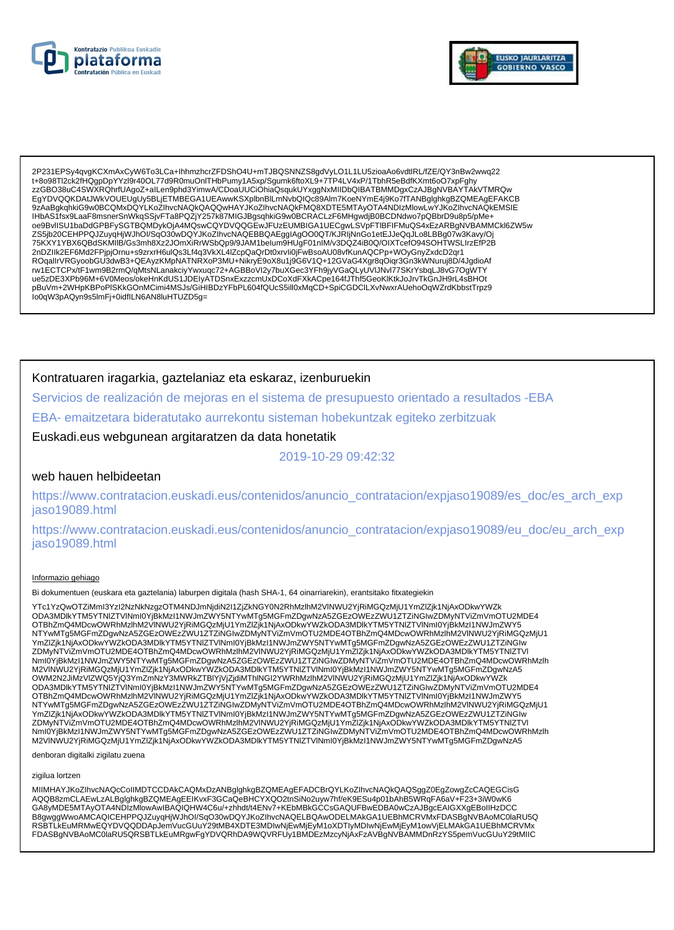



2P231EPSy4qvgKCXmAxCyW6To3LCa+lhhmzhcrZFDShO4U+mTJBQSNNZS8gdVyLO1L1LU5zioaAo6vdtlRL/fZE/QY3nBw2wwq22 t+8o98Tl2ck2fHQqpDpYYzl9r40OL77d9R0muOnITHbPumy1A5xp/Squmk6ftoXL9+7TP4LV4xP/1TbhR5eBdfKXmt6oO7xpFqhy 9ZAaBgkqhkiG9w0BCQMxDQYLKoZlhvcNAQkQAQQwHAYJKoZlhvcNAQkFMQ8XDTE5MTAyOTA4NDIzMlowLwYJKoZlhvcNAQkEMSIE IHbAS1fsx9LaaF8msnerSnWkqSSjvFTa8PQZjY257k87MIGJBgsqhkiG9w0BCRACLzF6MHgwdjB0BCDNdwo7pQBbrD9u8p5/pMe+ 0e9BvllSU1baDdGPBFySGTBQMDykOjA4MQswCQYDVQQGEwJFUzEUMBIGA1UECgwLSVpFTIBFIFMuQS4xEzARBgNVBAMMCkl6ZW5w<br>ZS5jb20CEHPPQJZuyqHjWJhOl/SqO30wDQYJKoZIhvcNAQEBBQAEggIAgOO0QT/KJRIjNnGo1etEJJeQqJLo8LBBg07w3Kavy/Oj ROgallrVRGyoobGU3dwB3+QEAyzKMpNATNRXoP3MU+NikryE9oX8u1j9G6V1Q+12GVaG4Xgr8qOiqr3Gn3kWNuruj8D/4JgdioAf rw1ECTCPx/tF1wm9B2rmQ/qMtsNLanakciyYwxuqc72+AGBBoVl2y7buXGec3YFh9jyVGaQLyUVIJNvl77SKrYsbqLJ8vG7OgWTY ue5zDE3XPb96M+6V0Meos/okeHnKdUS1JDEIyATDSnxExzzcmUxDCoXdFXkACpe164fJThf5GeoKlKtkJoJrvTkGnJH9rL4sBHOt pBuVm+2WHpKBPoPlSKkGOnMCimi4MSJs/GiHIBDzYFbPL604fQUcS5ill0xMqCD+SpiCGDClLXvNwxrAUehoOqWZrdKbbstTrpz9 lo0qW3pAQyn9s5lmFj+0idflLN6AN8luHTUZD5g=

## Kontratuaren iragarkia, gaztelaniaz eta eskaraz, izenburuekin

Servicios de realización de mejoras en el sistema de presupuesto orientado a resultados -EBA

EBA- emaitzetara bideratutako aurrekontu sisteman hobekuntzak egiteko zerbitzuak

Euskadi.eus webgunean argitaratzen da data honetatik

2019-10-29 09:42:32

### web hauen helbideetan

https://www.contratacion.euskadi.eus/contenidos/anuncio\_contratacion/expjaso19089/es\_doc/es\_arch\_exp jaso19089.html

https://www.contratacion.euskadi.eus/contenidos/anuncio\_contratacion/expjaso19089/eu\_doc/eu\_arch\_exp jaso19089.html

#### Informazio gehiago

Bi dokumentuen (euskara eta gaztelania) laburpen digitala (hash SHA-1, 64 oinarriarekin), erantsitako fitxategiekin

YTc1YzQwOTZiMml3YzI2NzNkNzgzOTM4NDJmNjdiN2I1ZjZkNGY0N2RhMzlhM2VINWU2YjRiMGQzMjU1YmZIZjk1NjAxODkwYWZk ODA3MDIkYTM5YTNIZTVINmI0YjBKMzI1NWJmZWY5NTYwMTg5MGFmZDgwNzA5ZGEzOWEzZWU1ZTZiNGIwZDMyNTViZmVmOTU2MDE4 OTBhZmQ4MDcwOWRhMzIhM2VINWU2YjRiMGQzMjU1YmZlZjk1NjAxODkwYWZkODA3MDlkYTM5YTNlZTVINml0YjBkMzI1NWJmZWY5<br>NTYwMTg5MGFmZDgwNzA5ZGEzOWEzZWU1ZTZiNGIwZDMyNTViZmVmOTU2MDE4OTBhZmQ4MDcwOWRhMzIhM2VINWU2YjRiMGQzMjU1 YTTWWTgCwCrin2DgwNzi0DCCDCYTEETTVTDTDTDT7jNWJmZWY5NTYwMTg5MGFmZDgwNzA5ZGEzOWEzZWU1ZTZiNGlw ZDMyNTViZmVmOTU2MDE4OTBhZmQ4MDcwOWRhMzIhM2VINWU2YjRiMGQzMjU1YmZIZjk1NjAxODkwYWZkODA3MDlkYTM5YTNIZTVI Nml0YjBkMzI1NWJmZWY5NTYwMTg5MGFmZDgwNzA5ZGEzOWEzZWU1ZTZiNGlwZDMyNTViZmVmOTU2MDE4OTBhZmQ4MDcwOWRhMzlh M2VINWU2YjRiMGQzMjU1YmZlZjk1NjAxODkwYWZkODA3MDlkYTM5YTNIZTVINml0YjBkMzI1NWJmZWY5NTYwMTg5MGFmZDgwNzA5 OWM2N2JiMzVIZWQ5YjQ3YmZmNzY3MWRkZTBIYjVjZjdiMThINGI2YWRhMzIhM2VINWU2YjRiMGQzMjU1YmZIZjk1NjAxODkwYWZk ODA3MDlkYTM5YTNIZTVINml0YjBkMzI1NWJmZWY5NTYwMTg5MGFmZDgwNzA5ZGEzOWEzZWU1ZTZiNGIwZDMyNTViZmVmOTU2MDE4 OTBhZmQ4MDcwOWRhMzlhM2VINWU2YjRiMGQzMjU1YmZlZjk1NjAxODkwYWZkODA3MDlkYTM5YTNlZTVlNml0YjBkMzl1NWJmZWY5<br>NTYwMTg5MGFmZDgwNzA5ZGEzOWEzZWU1ZTZiNGlwZDMyNTViZmVmOTU2MDE4OTBhZmQ4MDcwOWRhMzlhM2VINWU2YjRiMGQzMjU1 ivi i www.gomerii.com/sext/web/2012/http://www.charact.com/sext/web/2012/html/web/2012/html/web/2012/html/2012<br>YmzIZjk1NjAxODkwYWZkODA3MDlkYTM5YTNIZTVINml0YjBkMzI1NWJmZWY5NTYwMTg5MGFmZDgwNzA5ZGEzOWEzZWU1ZTZiNGlw<br>ZDMyNTViZm Nml0YjBkMzI1NWJmZWY5NTYwMTg5MGFmZDgwNzA5ZGEzOWEzZWU1ZTZiNGlwZDMyNTViZmVmOTU2MDE4OTBhZmQ4MDcwOWRhMzlh M2VINWU2YjRiMGQzMjU1YmZlZjk1NjAxODkwYWZkODA3MDlkYTM5YTNIZTVINml0YjBkMzI1NWJmZWY5NTYwMTg5MGFmZDgwNzA5

denboran digitalki zigilatu zuena

#### zigilua lortzen

MIIMHAYJKoZIhvcNAQcCoIIMDTCCDAkCAQMxDzANBglghkgBZQMEAgEFADCBrQYLKoZIhvcNAQkQAQSggZ0EgZowgZcCAQEGCisG AQQB8zmCLAEwLzALBglghkgBZQMEAgEEIKvxF3GCaQeBHCYXQO2tnSiNo2uyw7hf/eK9ESu4p01bAhB5WRqFA6aV+F23+3iW0wK6 GA8yMDE5MTAyOTA4NDIzMlowAwIBAQIQHW4C6u/+zhhdt/t4ENv7+KEbMBkGCCsGAQUFBwEDBA0wCzAJBgcEAIGXXgEBoIIHzDCC B8gwggWwoAMCAQICEHPPQJZuyqHjWJhOI/SqO30wDQYJKoZIhvcNAQELBQAwODELMAkGA1UEBhMCRVMxFDASBgNVBAoMC0laRU5Q<br>RSBTLkEuMRMwEQYDVQQDDApJemVucGUuY29tMB4XDTE3MDIwNjEwMjEyM1oXDTIyMDIwNjEwMjEyM1owVjELMAkGA1UEBhMCRVMx FDASBgNVBAoMC0laRU5QRSBTLkEuMRgwFgYDVQRhDA9WQVRFUy1BMDEzMzcyNjAxFzAVBgNVBAMMDnRzYS5pemVucGUuY29tMIIC